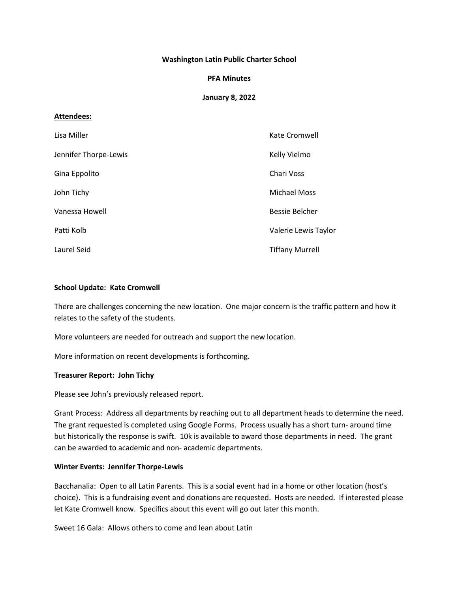## **Washington Latin Public Charter School**

### **PFA Minutes**

## **January 8, 2022**

## **Attendees:**

| Lisa Miller           | Kate Cromwell          |
|-----------------------|------------------------|
| Jennifer Thorpe-Lewis | Kelly Vielmo           |
| Gina Eppolito         | Chari Voss             |
| John Tichy            | <b>Michael Moss</b>    |
| Vanessa Howell        | Bessie Belcher         |
| Patti Kolb            | Valerie Lewis Taylor   |
| Laurel Seid           | <b>Tiffany Murrell</b> |

#### **School Update: Kate Cromwell**

There are challenges concerning the new location. One major concern is the traffic pattern and how it relates to the safety of the students.

More volunteers are needed for outreach and support the new location.

More information on recent developments is forthcoming.

#### **Treasurer Report: John Tichy**

Please see John's previously released report.

Grant Process: Address all departments by reaching out to all department heads to determine the need. The grant requested is completed using Google Forms. Process usually has a short turn- around time but historically the response is swift. 10k is available to award those departments in need. The grant can be awarded to academic and non- academic departments.

#### **Winter Events: Jennifer Thorpe-Lewis**

Bacchanalia: Open to all Latin Parents. This is a social event had in a home or other location (host's choice). This is a fundraising event and donations are requested. Hosts are needed. If interested please let Kate Cromwell know. Specifics about this event will go out later this month.

Sweet 16 Gala: Allows others to come and lean about Latin